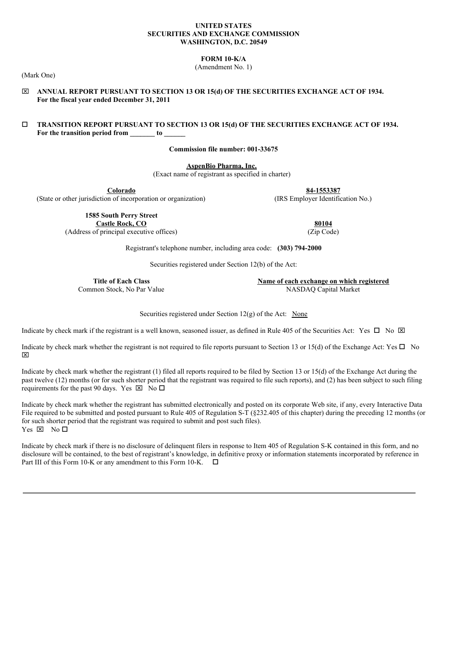#### **UNITED STATES SECURITIES AND EXCHANGE COMMISSION WASHINGTON, D.C. 20549**

**FORM 10-K/A**

(Amendment No. 1)

(Mark One)

x **ANNUAL REPORT PURSUANT TO SECTION 13 OR 15(d) OF THE SECURITIES EXCHANGE ACT OF 1934. For the fiscal year ended December 31, 2011**

## o **TRANSITION REPORT PURSUANT TO SECTION 13 OR 15(d) OF THE SECURITIES EXCHANGE ACT OF 1934. For the transition period from \_\_\_\_\_\_\_ to \_\_\_\_\_\_**

**Commission file number: 001-33675**

**AspenBio Pharma, Inc.**

(Exact name of registrant as specified in charter)

(State or other jurisdiction of incorporation or organization)

**Colorado**<br> **84-1553387**<br> **84-1553387**<br> **84-1553387**<br> **RS Employer Identification No.)** 

**1585 South Perry Street Castle Rock, CO 80104**

(Address of principal executive offices) (Zip Code)

Registrant's telephone number, including area code: **(303) 794-2000**

Securities registered under Section 12(b) of the Act:

**Title of Each Class Name of each exchange on which registered** Common Stock, No Par Value NASDAQ Capital Market

Securities registered under Section  $12(g)$  of the Act: None

Indicate by check mark if the registrant is a well known, seasoned issuer, as defined in Rule 405 of the Securities Act: Yes  $\Box$  No  $\boxtimes$ 

Indicate by check mark whether the registrant is not required to file reports pursuant to Section 13 or 15(d) of the Exchange Act: Yes  $\Box$  No  $\boxtimes$ 

Indicate by check mark whether the registrant (1) filed all reports required to be filed by Section 13 or 15(d) of the Exchange Act during the past twelve (12) months (or for such shorter period that the registrant was required to file such reports), and (2) has been subject to such filing requirements for the past 90 days. Yes  $\boxtimes$  No  $\square$ 

Indicate by check mark whether the registrant has submitted electronically and posted on its corporate Web site, if any, every Interactive Data File required to be submitted and posted pursuant to Rule 405 of Regulation S-T (§232.405 of this chapter) during the preceding 12 months (or for such shorter period that the registrant was required to submit and post such files). Yes  $\boxtimes$  No  $\square$ 

Indicate by check mark if there is no disclosure of delinquent filers in response to Item 405 of Regulation S-K contained in this form, and no disclosure will be contained, to the best of registrant's knowledge, in definitive proxy or information statements incorporated by reference in Part III of this Form 10-K or any amendment to this Form 10-K.  $\square$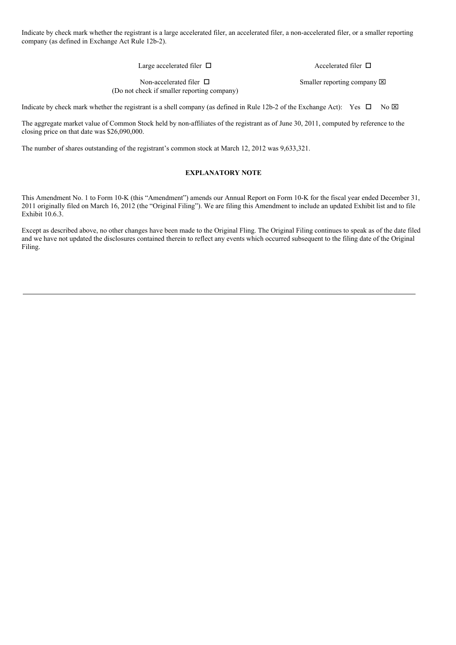Indicate by check mark whether the registrant is a large accelerated filer, an accelerated filer, a non-accelerated filer, or a smaller reporting company (as defined in Exchange Act Rule 12b-2).

Large accelerated filer  $\ \Box$ 

Accelerated filer  $\Box$ 

Smaller reporting company  $\boxtimes$ 

Non-accelerated filer  $\Box$ (Do not check if smaller reporting company)

Indicate by check mark whether the registrant is a shell company (as defined in Rule 12b-2 of the Exchange Act): Yes  $\Box$  No  $\boxtimes$ 

The aggregate market value of Common Stock held by non-affiliates of the registrant as of June 30, 2011, computed by reference to the closing price on that date was \$26,090,000.

The number of shares outstanding of the registrant's common stock at March 12, 2012 was 9,633,321.

## **EXPLANATORY NOTE**

This Amendment No. 1 to Form 10-K (this "Amendment") amends our Annual Report on Form 10-K for the fiscal year ended December 31, 2011 originally filed on March 16, 2012 (the "Original Filing"). We are filing this Amendment to include an updated Exhibit list and to file Exhibit 10.6.3.

Except as described above, no other changes have been made to the Original Fling. The Original Filing continues to speak as of the date filed and we have not updated the disclosures contained therein to reflect any events which occurred subsequent to the filing date of the Original Filing.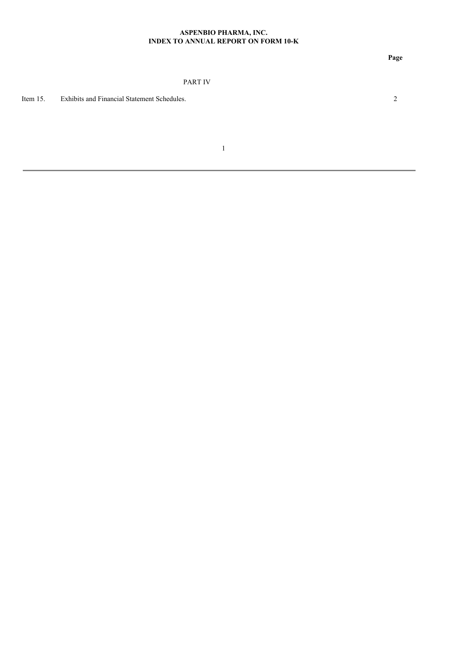## **ASPENBIO PHARMA, INC. INDEX TO ANNUAL REPORT ON FORM 10-K**

## PART IV

Item 15. Exhibits and Financial Statement Schedules. 2

1

**Page**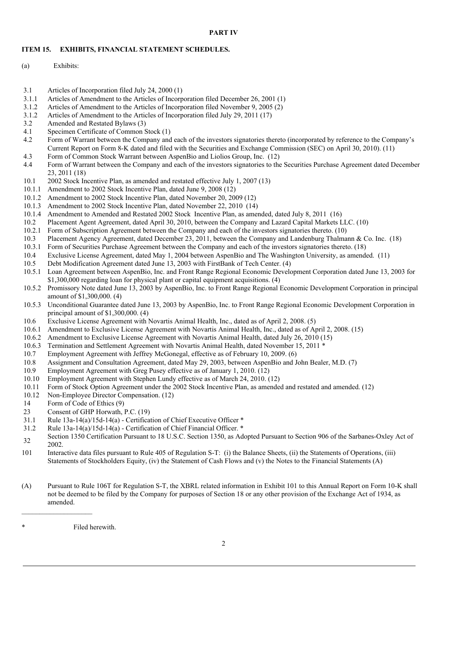### **PART IV**

### **ITEM 15. EXHIBITS, FINANCIAL STATEMENT SCHEDULES.**

- (a) Exhibits:
- 3.1 Articles of Incorporation filed July 24, 2000 (1)
- 3.1.1 Articles of Amendment to the Articles of Incorporation filed December 26, 2001 (1)
- 3.1.2 Articles of Amendment to the Articles of Incorporation filed November 9, 2005 (2)
- 3.1.2 Articles of Amendment to the Articles of Incorporation filed July 29, 2011 (17)<br>3.2 Amended and Restated Bylaws (3)
- Amended and Restated Bylaws (3)
- 4.1 Specimen Certificate of Common Stock (1)
- 4.2 Form of Warrant between the Company and each of the investors signatories thereto (incorporated by reference to the Company's Current Report on Form 8-K dated and filed with the Securities and Exchange Commission (SEC) on April 30, 2010). (11)
- 4.3 Form of Common Stock Warrant between AspenBio and Liolios Group, Inc. (12)
- 4.4 Form of Warrant between the Company and each of the investors signatories to the Securities Purchase Agreement dated December 23, 2011 (18)
- 10.1 2002 Stock Incentive Plan, as amended and restated effective July 1, 2007 (13)
- 10.1.1 Amendment to 2002 Stock Incentive Plan, dated June 9, 2008 (12)
- 10.1.2 Amendment to 2002 Stock Incentive Plan, dated November 20, 2009 (12)
- 10.1.3 Amendment to 2002 Stock Incentive Plan, dated November 22, 2010 (14)
- 10.1.4 Amendment to Amended and Restated 2002 Stock Incentive Plan, as amended, dated July 8, 2011 (16)
- 10.2 Placement Agent Agreement, dated April 30, 2010, between the Company and Lazard Capital Markets LLC. (10)
- 10.2.1 Form of Subscription Agreement between the Company and each of the investors signatories thereto. (10)
- 10.3 Placement Agency Agreement, dated December 23, 2011, between the Company and Landenburg Thalmann & Co. Inc. (18)
- 10.3.1 Form of Securities Purchase Agreement between the Company and each of the investors signatories thereto. (18)
- 10.4 Exclusive License Agreement, dated May 1, 2004 between AspenBio and The Washington University, as amended. (11)
- 10.5 Debt Modification Agreement dated June 13, 2003 with FirstBank of Tech Center. (4)
- 10.5.1 Loan Agreement between AspenBio, Inc. and Front Range Regional Economic Development Corporation dated June 13, 2003 for \$1,300,000 regarding loan for physical plant or capital equipment acquisitions. (4)
- 10.5.2 Promissory Note dated June 13, 2003 by AspenBio, Inc. to Front Range Regional Economic Development Corporation in principal amount of \$1,300,000. (4)
- 10.5.3 Unconditional Guarantee dated June 13, 2003 by AspenBio, Inc. to Front Range Regional Economic Development Corporation in principal amount of \$1,300,000. (4)
- 10.6 Exclusive License Agreement with Novartis Animal Health, Inc., dated as of April 2, 2008. (5)
- 10.6.1 Amendment to Exclusive License Agreement with Novartis Animal Health, Inc., dated as of April 2, 2008. (15)
- 10.6.2 Amendment to Exclusive License Agreement with Novartis Animal Health, dated July 26, 2010 (15)
- 10.6.3 Termination and Settlement Agreement with Novartis Animal Health, dated November 15, 2011 \*
- 10.7 Employment Agreement with Jeffrey McGonegal, effective as of February 10, 2009. (6)
- 10.8 Assignment and Consultation Agreement, dated May 29, 2003, between AspenBio and John Bealer, M.D. (7)
- 10.9 Employment Agreement with Greg Pusey effective as of January 1, 2010. (12)
- 10.10 Employment Agreement with Stephen Lundy effective as of March 24, 2010. (12)
- 10.11 Form of Stock Option Agreement under the 2002 Stock Incentive Plan, as amended and restated and amended. (12)
- 10.12 Non-Employee Director Compensation. (12)
- 14 Form of Code of Ethics (9)
- 23 Consent of GHP Horwath, P.C. (19)
- 31.1 Rule 13a-14(a)/15d-14(a) Certification of Chief Executive Officer \*
- 31.2 Rule 13a-14(a)/15d-14(a) Certification of Chief Financial Officer. \*
- 32 Section 1350 Certification Pursuant to 18 U.S.C. Section 1350, as Adopted Pursuant to Section 906 of the Sarbanes-Oxley Act of 2002.
- 101 Interactive data files pursuant to Rule 405 of Regulation S-T: (i) the Balance Sheets, (ii) the Statements of Operations, (iii) Statements of Stockholders Equity, (iv) the Statement of Cash Flows and (v) the Notes to the Financial Statements (A)
- (A) Pursuant to Rule 106T for Regulation S-T, the XBRL related information in Exhibit 101 to this Annual Report on Form 10-K shall not be deemed to be filed by the Company for purposes of Section 18 or any other provision of the Exchange Act of 1934, as amended.

Filed herewith.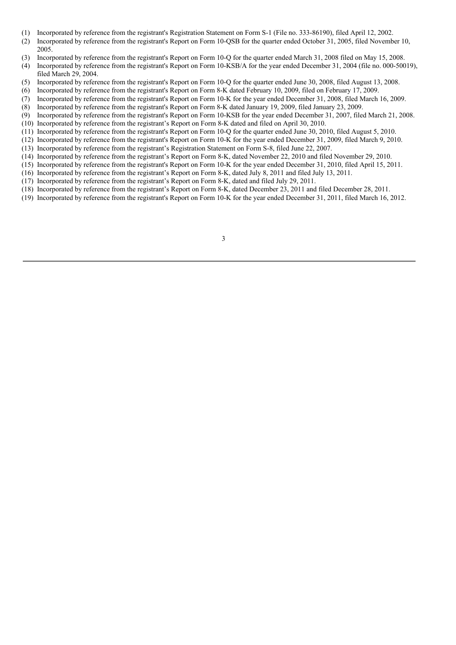- (1) Incorporated by reference from the registrant's Registration Statement on Form S-1 (File no. 333-86190), filed April 12, 2002.
- (2) Incorporated by reference from the registrant's Report on Form 10-QSB for the quarter ended October 31, 2005, filed November 10, 2005.
- (3) Incorporated by reference from the registrant's Report on Form 10-Q for the quarter ended March 31, 2008 filed on May 15, 2008.
- (4) Incorporated by reference from the registrant's Report on Form 10-KSB/A for the year ended December 31, 2004 (file no. 000-50019), filed March 29, 2004.
- (5) Incorporated by reference from the registrant's Report on Form 10-Q for the quarter ended June 30, 2008, filed August 13, 2008.
- (6) Incorporated by reference from the registrant's Report on Form 8-K dated February 10, 2009, filed on February 17, 2009.
- (7) Incorporated by reference from the registrant's Report on Form 10-K for the year ended December 31, 2008, filed March 16, 2009.
- (8) Incorporated by reference from the registrant's Report on Form 8-K dated January 19, 2009, filed January 23, 2009.
- (9) Incorporated by reference from the registrant's Report on Form 10-KSB for the year ended December 31, 2007, filed March 21, 2008.
- (10) Incorporated by reference from the registrant's Report on Form 8-K dated and filed on April 30, 2010.
- (11) Incorporated by reference from the registrant's Report on Form 10-Q for the quarter ended June 30, 2010, filed August 5, 2010.
- (12) Incorporated by reference from the registrant's Report on Form 10-K for the year ended December 31, 2009, filed March 9, 2010.
- (13) Incorporated by reference from the registrant's Registration Statement on Form S-8, filed June 22, 2007.
- (14) Incorporated by reference from the registrant's Report on Form 8-K, dated November 22, 2010 and filed November 29, 2010.
- (15) Incorporated by reference from the registrant's Report on Form 10-K for the year ended December 31, 2010, filed April 15, 2011.
- (16) Incorporated by reference from the registrant's Report on Form 8-K, dated July 8, 2011 and filed July 13, 2011.
- (17) Incorporated by reference from the registrant's Report on Form 8-K, dated and filed July 29, 2011.
- (18) Incorporated by reference from the registrant's Report on Form 8-K, dated December 23, 2011 and filed December 28, 2011.
- (19) Incorporated by reference from the registrant's Report on Form 10-K for the year ended December 31, 2011, filed March 16, 2012.

3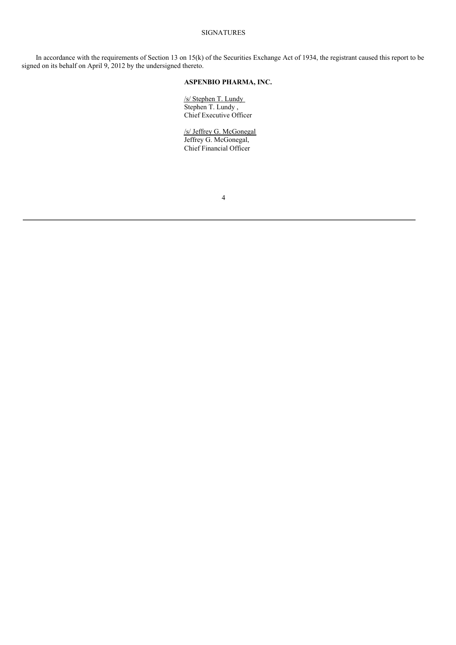## SIGNATURES

In accordance with the requirements of Section 13 on 15(k) of the Securities Exchange Act of 1934, the registrant caused this report to be signed on its behalf on April 9, 2012 by the undersigned thereto.

## **ASPENBIO PHARMA, INC.**

/s/ Stephen T. Lundy Stephen T. Lundy , Chief Executive Officer

/s/ Jeffrey G. McGonegal Jeffrey G. McGonegal, Chief Financial Officer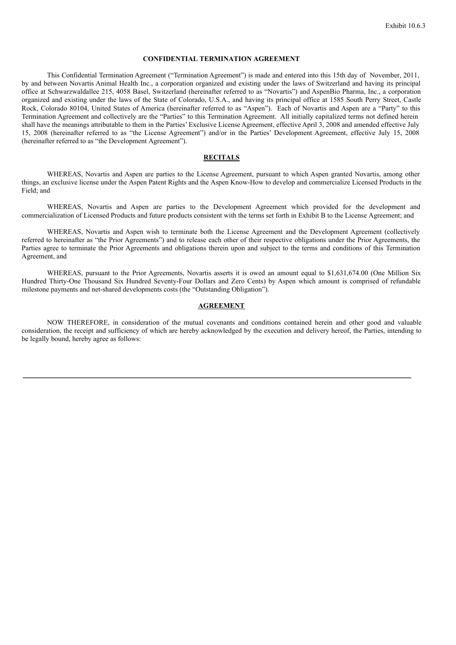### **CONFIDENTIAL TERMINATION AGREEMENT**

This Confidential Termination Agreement ("Termination Agreement") is made and entered into this 15th day of November, 2011, by and between Novartis Animal Health Inc., a corporation organized and existing under the laws of Switzerland and having its principal office at Schwarzwaldallee 215, 4058 Basel, Switzerland (hereinafter referred to as "Novartis") and AspenBio Pharma, Inc., a corporation organized and existing under the laws of the State of Colorado, U.S.A., and having its principal office at 1585 South Perry Street, Castle Rock, Colorado 80104, United States of America (hereinafter referred to as "Aspen"). Each of Novartis and Aspen are a "Party" to this Termination Agreement and collectively are the "Parties" to this Termination Agreement. All initially capitalized terms not defined herein shall have the meanings attributable to them in the Parties' Exclusive License Agreement, effective April 3, 2008 and amended effective July 15, 2008 (hereinafter referred to as "the License Agreement") and/or in the Parties' Development Agreement, effective July 15, 2008 (hereinafter referred to as "the Development Agreement").

## **RECITALS**

WHEREAS, Novartis and Aspen are parties to the License Agreement, pursuant to which Aspen granted Novartis, among other things, an exclusive license under the Aspen Patent Rights and the Aspen Know-How to develop and commercialize Licensed Products in the Field; and

WHEREAS, Novartis and Aspen are parties to the Development Agreement which provided for the development and commercialization of Licensed Products and future products consistent with the terms set forth in Exhibit B to the License Agreement; and

WHEREAS, Novartis and Aspen wish to terminate both the License Agreement and the Development Agreement (collectively referred to hereinafter as "the Prior Agreements") and to release each other of their respective obligations under the Prior Agreements, the Parties agree to terminate the Prior Agreements and obligations therein upon and subject to the terms and conditions of this Termination Agreement, and

WHEREAS, pursuant to the Prior Agreements, Novartis asserts it is owed an amount equal to \$1,631,674.00 (One Million Six Hundred Thirty-One Thousand Six Hundred Seventy-Four Dollars and Zero Cents) by Aspen which amount is comprised of refundable milestone payments and net-shared developments costs (the "Outstanding Obligation").

#### **AGREEMENT**

NOW THEREFORE, in consideration of the mutual covenants and conditions contained herein and other good and valuable consideration, the receipt and sufficiency of which are hereby acknowledged by the execution and delivery hereof, the Parties, intending to be legally bound, hereby agree as follows: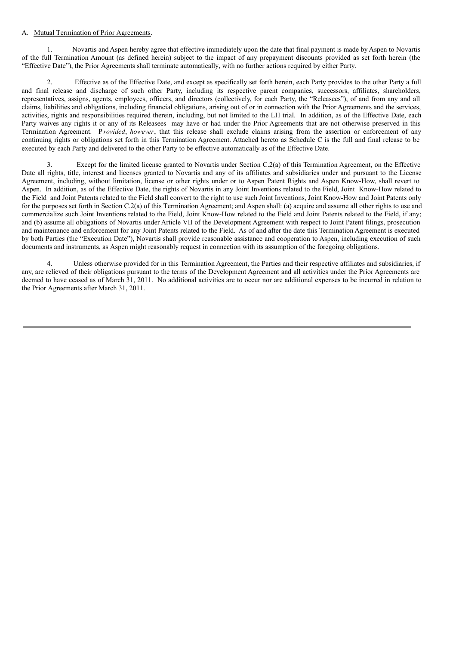## A. Mutual Termination of Prior Agreements.

1. Novartis and Aspen hereby agree that effective immediately upon the date that final payment is made by Aspen to Novartis of the full Termination Amount (as defined herein) subject to the impact of any prepayment discounts provided as set forth herein (the "Effective Date"), the Prior Agreements shall terminate automatically, with no further actions required by either Party.

2. Effective as of the Effective Date, and except as specifically set forth herein, each Party provides to the other Party a full and final release and discharge of such other Party, including its respective parent companies, successors, affiliates, shareholders, representatives, assigns, agents, employees, officers, and directors (collectively, for each Party, the "Releasees"), of and from any and all claims, liabilities and obligations, including financial obligations, arising out of or in connection with the Prior Agreements and the services, activities, rights and responsibilities required therein, including, but not limited to the LH trial. In addition, as of the Effective Date, each Party waives any rights it or any of its Releasees may have or had under the Prior Agreements that are not otherwise preserved in this Termination Agreement. P *rovided*, *however*, that this release shall exclude claims arising from the assertion or enforcement of any continuing rights or obligations set forth in this Termination Agreement. Attached hereto as Schedule C is the full and final release to be executed by each Party and delivered to the other Party to be effective automatically as of the Effective Date.

3. Except for the limited license granted to Novartis under Section C.2(a) of this Termination Agreement, on the Effective Date all rights, title, interest and licenses granted to Novartis and any of its affiliates and subsidiaries under and pursuant to the License Agreement, including, without limitation, license or other rights under or to Aspen Patent Rights and Aspen Know-How, shall revert to Aspen. In addition, as of the Effective Date, the rights of Novartis in any Joint Inventions related to the Field, Joint Know-How related to the Field and Joint Patents related to the Field shall convert to the right to use such Joint Inventions, Joint Know-How and Joint Patents only for the purposes set forth in Section C.2(a) of this Termination Agreement; and Aspen shall: (a) acquire and assume all other rights to use and commercialize such Joint Inventions related to the Field, Joint Know-How related to the Field and Joint Patents related to the Field, if any; and (b) assume all obligations of Novartis under Article VII of the Development Agreement with respect to Joint Patent filings, prosecution and maintenance and enforcement for any Joint Patents related to the Field. As of and after the date this Termination Agreement is executed by both Parties (the "Execution Date"), Novartis shall provide reasonable assistance and cooperation to Aspen, including execution of such documents and instruments, as Aspen might reasonably request in connection with its assumption of the foregoing obligations.

4. Unless otherwise provided for in this Termination Agreement, the Parties and their respective affiliates and subsidiaries, if any, are relieved of their obligations pursuant to the terms of the Development Agreement and all activities under the Prior Agreements are deemed to have ceased as of March 31, 2011. No additional activities are to occur nor are additional expenses to be incurred in relation to the Prior Agreements after March 31, 2011.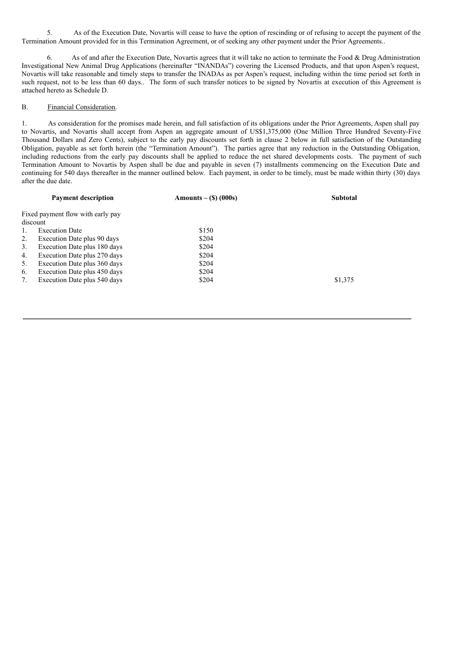5. As of the Execution Date, Novartis will cease to have the option of rescinding or of refusing to accept the payment of the Termination Amount provided for in this Termination Agreement, or of seeking any other payment under the Prior Agreements..

6. As of and after the Execution Date, Novartis agrees that it will take no action to terminate the Food & Drug Administration Investigational New Animal Drug Applications (hereinafter "INANDAs") covering the Licensed Products, and that upon Aspen's request, Novartis will take reasonable and timely steps to transfer the INADAs as per Aspen's request, including within the time period set forth in such request, not to be less than 60 days.. The form of such transfer notices to be signed by Novartis at execution of this Agreement is attached hereto as Schedule D.

## B. Financial Consideration.

1. As consideration for the promises made herein, and full satisfaction of its obligations under the Prior Agreements, Aspen shall pay to Novartis, and Novartis shall accept from Aspen an aggregate amount of US\$1,375,000 (One Million Three Hundred Seventy-Five Thousand Dollars and Zero Cents), subject to the early pay discounts set forth in clause 2 below in full satisfaction of the Outstanding Obligation, payable as set forth herein (the "Termination Amount"). The parties agree that any reduction in the Outstanding Obligation, including reductions from the early pay discounts shall be applied to reduce the net shared developments costs. The payment of such Termination Amount to Novartis by Aspen shall be due and payable in seven (7) installments commencing on the Execution Date and continuing for 540 days thereafter in the manner outlined below. Each payment, in order to be timely, must be made within thirty (30) days after the due date.

|          | <b>Payment description</b>        | $\text{Amounts} - (\text{S}) (000\text{s})$ | <b>Subtotal</b> |
|----------|-----------------------------------|---------------------------------------------|-----------------|
|          | Fixed payment flow with early pay |                                             |                 |
| discount |                                   |                                             |                 |
| 1.       | <b>Execution Date</b>             | \$150                                       |                 |
| 2.       | Execution Date plus 90 days       | \$204                                       |                 |
| 3.       | Execution Date plus 180 days      | \$204                                       |                 |
| 4.       | Execution Date plus 270 days      | \$204                                       |                 |
| 5.       | Execution Date plus 360 days      | \$204                                       |                 |
| 6.       | Execution Date plus 450 days      | \$204                                       |                 |
| 7.       | Execution Date plus 540 days      | \$204                                       | \$1,375         |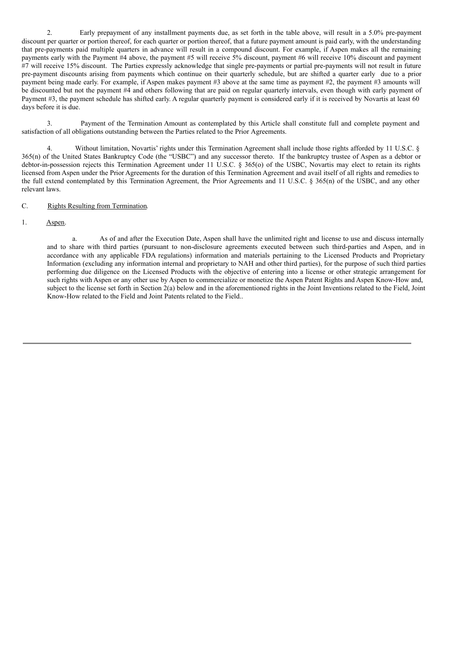2. Early prepayment of any installment payments due, as set forth in the table above, will result in a 5.0% pre-payment discount per quarter or portion thereof, for each quarter or portion thereof, that a future payment amount is paid early, with the understanding that pre-payments paid multiple quarters in advance will result in a compound discount. For example, if Aspen makes all the remaining payments early with the Payment #4 above, the payment #5 will receive 5% discount, payment #6 will receive 10% discount and payment #7 will receive 15% discount. The Parties expressly acknowledge that single pre-payments or partial pre-payments will not result in future pre-payment discounts arising from payments which continue on their quarterly schedule, but are shifted a quarter early due to a prior payment being made early. For example, if Aspen makes payment #3 above at the same time as payment #2, the payment #3 amounts will be discounted but not the payment #4 and others following that are paid on regular quarterly intervals, even though with early payment of Payment #3, the payment schedule has shifted early. A regular quarterly payment is considered early if it is received by Novartis at least 60 days before it is due.

3. Payment of the Termination Amount as contemplated by this Article shall constitute full and complete payment and satisfaction of all obligations outstanding between the Parties related to the Prior Agreements.

4. Without limitation, Novartis' rights under this Termination Agreement shall include those rights afforded by 11 U.S.C. § 365(n) of the United States Bankruptcy Code (the "USBC") and any successor thereto. If the bankruptcy trustee of Aspen as a debtor or debtor-in-possession rejects this Termination Agreement under 11 U.S.C. § 365(o) of the USBC, Novartis may elect to retain its rights licensed from Aspen under the Prior Agreements for the duration of this Termination Agreement and avail itself of all rights and remedies to the full extend contemplated by this Termination Agreement, the Prior Agreements and 11 U.S.C. § 365(n) of the USBC, and any other relevant laws.

C. Rights Resulting from Termination.

1. Aspen.

a. As of and after the Execution Date, Aspen shall have the unlimited right and license to use and discuss internally and to share with third parties (pursuant to non-disclosure agreements executed between such third-parties and Aspen, and in accordance with any applicable FDA regulations) information and materials pertaining to the Licensed Products and Proprietary Information (excluding any information internal and proprietary to NAH and other third parties), for the purpose of such third parties performing due diligence on the Licensed Products with the objective of entering into a license or other strategic arrangement for such rights with Aspen or any other use by Aspen to commercialize or monetize the Aspen Patent Rights and Aspen Know-How and, subject to the license set forth in Section 2(a) below and in the aforementioned rights in the Joint Inventions related to the Field, Joint Know-How related to the Field and Joint Patents related to the Field..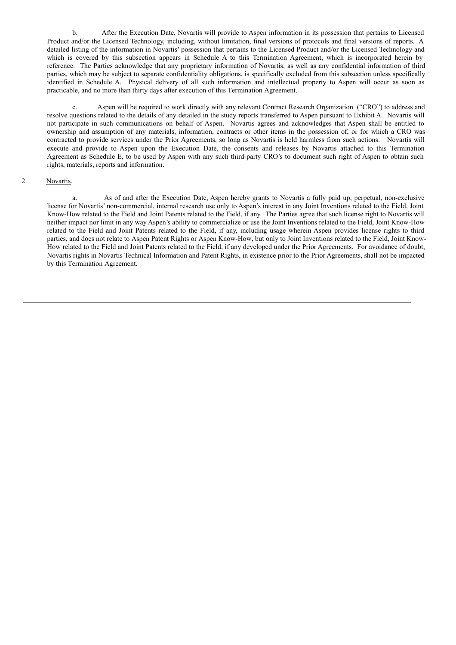b. After the Execution Date, Novartis will provide to Aspen information in its possession that pertains to Licensed Product and/or the Licensed Technology, including, without limitation, final versions of protocols and final versions of reports. A detailed listing of the information in Novartis' possession that pertains to the Licensed Product and/or the Licensed Technology and which is covered by this subsection appears in Schedule A to this Termination Agreement, which is incorporated herein by reference. The Parties acknowledge that any proprietary information of Novartis, as well as any confidential information of third parties, which may be subject to separate confidentiality obligations, is specifically excluded from this subsection unless specifically identified in Schedule A. Physical delivery of all such information and intellectual property to Aspen will occur as soon as practicable, and no more than thirty days after execution of this Termination Agreement.

c. Aspen will be required to work directly with any relevant Contract Research Organization ("CRO") to address and resolve questions related to the details of any detailed in the study reports transferred to Aspen pursuant to Exhibit A. Novartis will not participate in such communications on behalf of Aspen. Novartis agrees and acknowledges that Aspen shall be entitled to ownership and assumption of any materials, information, contracts or other items in the possession of, or for which a CRO was contracted to provide services under the Prior Agreements, so long as Novartis is held harmless from such actions. Novartis will execute and provide to Aspen upon the Execution Date, the consents and releases by Novartis attached to this Termination Agreement as Schedule E, to be used by Aspen with any such third-party CRO's to document such right of Aspen to obtain such rights, materials, reports and information.

## 2. Novartis.

a. As of and after the Execution Date, Aspen hereby grants to Novartis a fully paid up, perpetual, non-exclusive license for Novartis' non-commercial, internal research use only to Aspen's interest in any Joint Inventions related to the Field, Joint Know-How related to the Field and Joint Patents related to the Field, if any. The Parties agree that such license right to Novartis will neither impact nor limit in any way Aspen's ability to commercialize or use the Joint Inventions related to the Field, Joint Know-How related to the Field and Joint Patents related to the Field, if any, including usage wherein Aspen provides license rights to third parties, and does not relate to Aspen Patent Rights or Aspen Know-How, but only to Joint Inventions related to the Field, Joint Know-How related to the Field and Joint Patents related to the Field, if any developed under the Prior Agreements. For avoidance of doubt, Novartis rights in Novartis Technical Information and Patent Rights, in existence prior to the Prior Agreements, shall not be impacted by this Termination Agreement.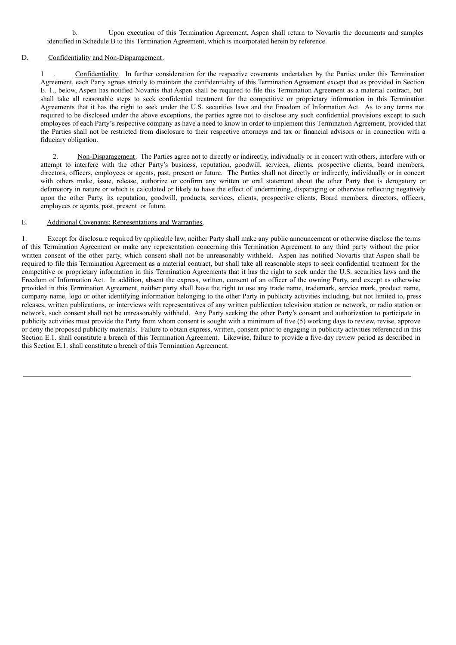b. Upon execution of this Termination Agreement, Aspen shall return to Novartis the documents and samples identified in Schedule B to this Termination Agreement, which is incorporated herein by reference.

## D. Confidentiality and Non-Disparagement.

1 . Confidentiality. In further consideration for the respective covenants undertaken by the Parties under this Termination Agreement, each Party agrees strictly to maintain the confidentiality of this Termination Agreement except that as provided in Section E. 1., below, Aspen has notified Novartis that Aspen shall be required to file this Termination Agreement as a material contract, but shall take all reasonable steps to seek confidential treatment for the competitive or proprietary information in this Termination Agreements that it has the right to seek under the U.S. securities laws and the Freedom of Information Act. As to any terms not required to be disclosed under the above exceptions, the parties agree not to disclose any such confidential provisions except to such employees of each Party's respective company as have a need to know in order to implement this Termination Agreement, provided that the Parties shall not be restricted from disclosure to their respective attorneys and tax or financial advisors or in connection with a fiduciary obligation.

2. Non-Disparagement. The Parties agree not to directly or indirectly, individually or in concert with others, interfere with or attempt to interfere with the other Party's business, reputation, goodwill, services, clients, prospective clients, board members, directors, officers, employees or agents, past, present or future. The Parties shall not directly or indirectly, individually or in concert with others make, issue, release, authorize or confirm any written or oral statement about the other Party that is derogatory or defamatory in nature or which is calculated or likely to have the effect of undermining, disparaging or otherwise reflecting negatively upon the other Party, its reputation, goodwill, products, services, clients, prospective clients, Board members, directors, officers, employees or agents, past, present or future.

## E. Additional Covenants; Representations and Warranties.

1. Except for disclosure required by applicable law, neither Party shall make any public announcement or otherwise disclose the terms of this Termination Agreement or make any representation concerning this Termination Agreement to any third party without the prior written consent of the other party, which consent shall not be unreasonably withheld. Aspen has notified Novartis that Aspen shall be required to file this Termination Agreement as a material contract, but shall take all reasonable steps to seek confidential treatment for the competitive or proprietary information in this Termination Agreements that it has the right to seek under the U.S. securities laws and the Freedom of Information Act. In addition, absent the express, written, consent of an officer of the owning Party, and except as otherwise provided in this Termination Agreement, neither party shall have the right to use any trade name, trademark, service mark, product name, company name, logo or other identifying information belonging to the other Party in publicity activities including, but not limited to, press releases, written publications, or interviews with representatives of any written publication television station or network, or radio station or network, such consent shall not be unreasonably withheld. Any Party seeking the other Party's consent and authorization to participate in publicity activities must provide the Party from whom consent is sought with a minimum of five (5) working days to review, revise, approve or deny the proposed publicity materials. Failure to obtain express, written, consent prior to engaging in publicity activities referenced in this Section E.1. shall constitute a breach of this Termination Agreement. Likewise, failure to provide a five-day review period as described in this Section E.1. shall constitute a breach of this Termination Agreement.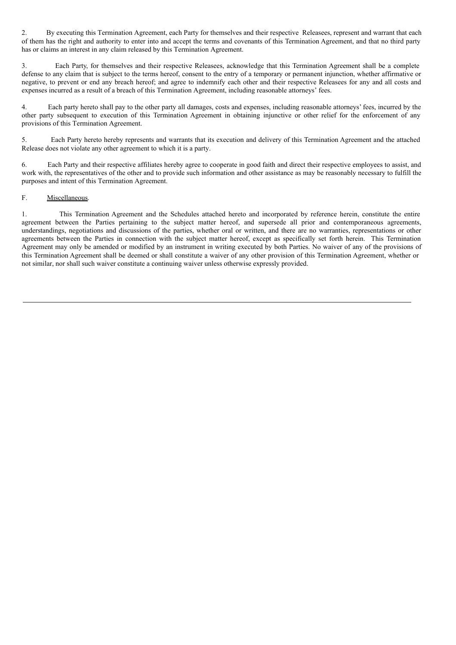2. By executing this Termination Agreement, each Party for themselves and their respective Releasees, represent and warrant that each of them has the right and authority to enter into and accept the terms and covenants of this Termination Agreement, and that no third party has or claims an interest in any claim released by this Termination Agreement.

3. Each Party, for themselves and their respective Releasees, acknowledge that this Termination Agreement shall be a complete defense to any claim that is subject to the terms hereof, consent to the entry of a temporary or permanent injunction, whether affirmative or negative, to prevent or end any breach hereof; and agree to indemnify each other and their respective Releasees for any and all costs and expenses incurred as a result of a breach of this Termination Agreement, including reasonable attorneys' fees.

4. Each party hereto shall pay to the other party all damages, costs and expenses, including reasonable attorneys' fees, incurred by the other party subsequent to execution of this Termination Agreement in obtaining injunctive or other relief for the enforcement of any provisions of this Termination Agreement.

5. Each Party hereto hereby represents and warrants that its execution and delivery of this Termination Agreement and the attached Release does not violate any other agreement to which it is a party.

6. Each Party and their respective affiliates hereby agree to cooperate in good faith and direct their respective employees to assist, and work with, the representatives of the other and to provide such information and other assistance as may be reasonably necessary to fulfill the purposes and intent of this Termination Agreement.

## F. Miscellaneous.

1. This Termination Agreement and the Schedules attached hereto and incorporated by reference herein, constitute the entire agreement between the Parties pertaining to the subject matter hereof, and supersede all prior and contemporaneous agreements, understandings, negotiations and discussions of the parties, whether oral or written, and there are no warranties, representations or other agreements between the Parties in connection with the subject matter hereof, except as specifically set forth herein. This Termination Agreement may only be amended or modified by an instrument in writing executed by both Parties. No waiver of any of the provisions of this Termination Agreement shall be deemed or shall constitute a waiver of any other provision of this Termination Agreement, whether or not similar, nor shall such waiver constitute a continuing waiver unless otherwise expressly provided.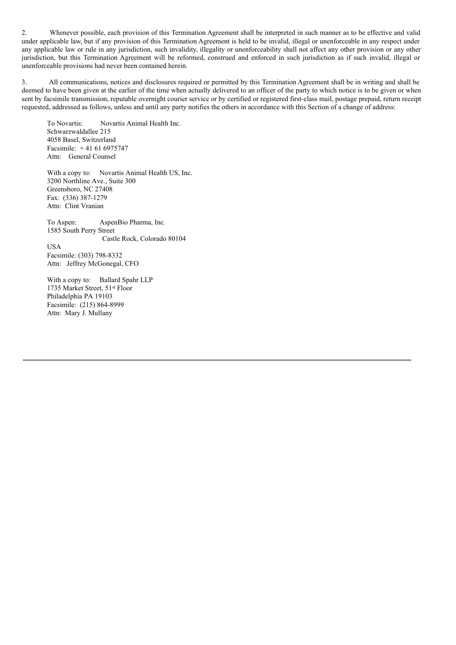2. Whenever possible, each provision of this Termination Agreement shall be interpreted in such manner as to be effective and valid under applicable law, but if any provision of this Termination Agreement is held to be invalid, illegal or unenforceable in any respect under any applicable law or rule in any jurisdiction, such invalidity, illegality or unenforceability shall not affect any other provision or any other jurisdiction, but this Termination Agreement will be reformed, construed and enforced in such jurisdiction as if such invalid, illegal or unenforceable provisions had never been contained herein.

3. All communications, notices and disclosures required or permitted by this Termination Agreement shall be in writing and shall be deemed to have been given at the earlier of the time when actually delivered to an officer of the party to which notice is to be given or when sent by facsimile transmission, reputable overnight courier service or by certified or registered first-class mail, postage prepaid, return receipt requested, addressed as follows, unless and until any party notifies the others in accordance with this Section of a change of address:

To Novartis: Novartis Animal Health Inc. Schwarzwaldallee 215 4058 Basel, Switzerland Facsimile: + 41 61 6975747 Attn: General Counsel

With a copy to: Novartis Animal Health US, Inc. 3200 Northline Ave., Suite 300 Greensboro, NC 27408 Fax: (336) 387-1279 Attn: Clint Vranian

To Aspen: AspenBio Pharma, Inc. 1585 South Perry Street Castle Rock, Colorado 80104 USA Facsimile: (303) 798-8332 Attn: Jeffrey McGonegal, CFO

With a copy to: Ballard Spahr LLP 1735 Market Street, 51 st Floor Philadelphia PA 19103 Facsimile: (215) 864-8999 Attn: Mary J. Mullany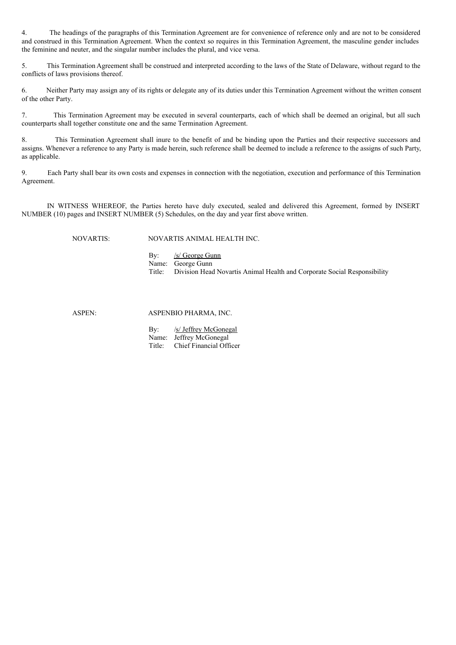4. The headings of the paragraphs of this Termination Agreement are for convenience of reference only and are not to be considered and construed in this Termination Agreement. When the context so requires in this Termination Agreement, the masculine gender includes the feminine and neuter, and the singular number includes the plural, and vice versa.

5. This Termination Agreement shall be construed and interpreted according to the laws of the State of Delaware, without regard to the conflicts of laws provisions thereof.

6. Neither Party may assign any of its rights or delegate any of its duties under this Termination Agreement without the written consent of the other Party.

7. This Termination Agreement may be executed in several counterparts, each of which shall be deemed an original, but all such counterparts shall together constitute one and the same Termination Agreement.

8. This Termination Agreement shall inure to the benefit of and be binding upon the Parties and their respective successors and assigns. Whenever a reference to any Party is made herein, such reference shall be deemed to include a reference to the assigns of such Party, as applicable.

9. Each Party shall bear its own costs and expenses in connection with the negotiation, execution and performance of this Termination Agreement.

IN WITNESS WHEREOF, the Parties hereto have duly executed, sealed and delivered this Agreement, formed by INSERT NUMBER (10) pages and INSERT NUMBER (5) Schedules, on the day and year first above written.

NOVARTIS: NOVARTIS ANIMAL HEALTH INC.

By: /s/ George Gunn Name: George Gunn<br>Title: Division Head Division Head Novartis Animal Health and Corporate Social Responsibility

ASPENBIO PHARMA, INC.

By: /s/ Jeffrey McGonegal Name: Jeffrey McGonegal Title: Chief Financial Officer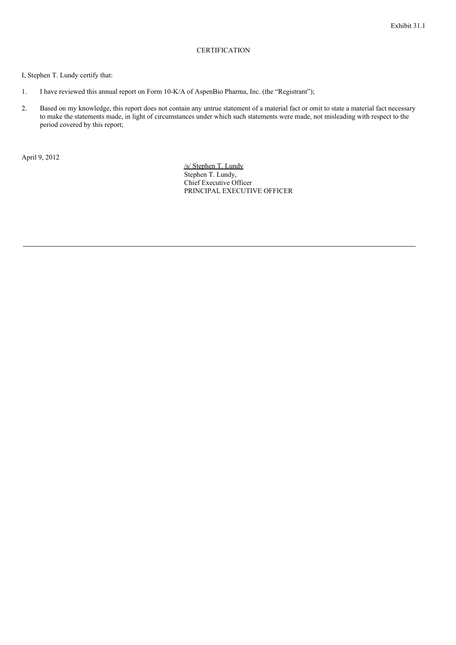# **CERTIFICATION**

## I, Stephen T. Lundy certify that:

- 1. I have reviewed this annual report on Form 10-K/A of AspenBio Pharma, Inc. (the "Registrant");
- 2. Based on my knowledge, this report does not contain any untrue statement of a material fact or omit to state a material fact necessary to make the statements made, in light of circumstances under which such statements were made, not misleading with respect to the period covered by this report;

April 9, 2012

/s/ Stephen T. Lundy Stephen T. Lundy, Chief Executive Officer PRINCIPAL EXECUTIVE OFFICER